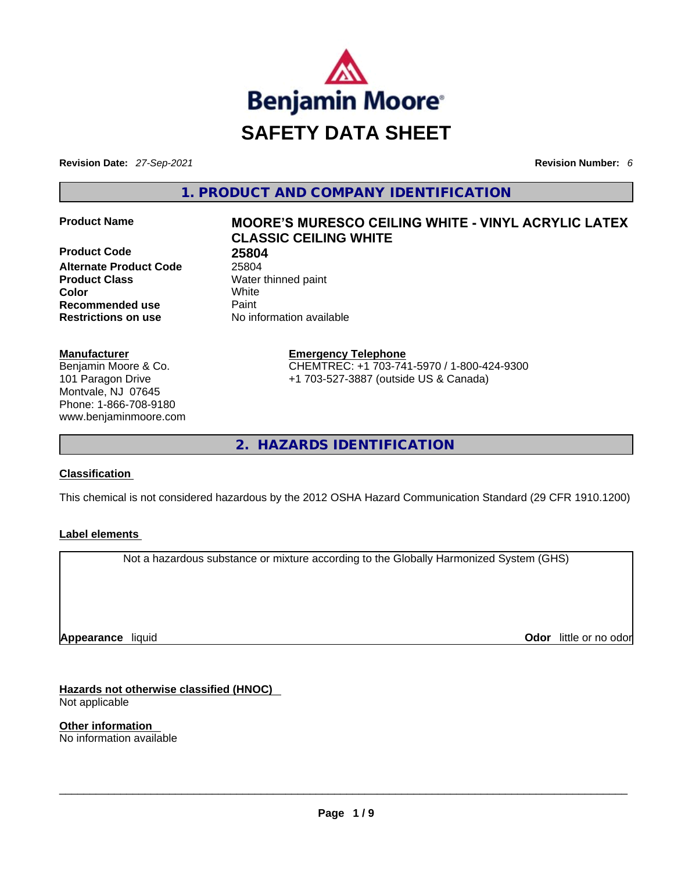

**Revision Date:** *27-Sep-2021* **Revision Number:** *6*

**1. PRODUCT AND COMPANY IDENTIFICATION** 

**Product Code 68 25804**<br>**Alternate Product Code** 25804 **Alternate Product Code Product Class Water thinned paint Color** White **Recommended use <b>Paint Restrictions on use** No information available

#### **Manufacturer**

Benjamin Moore & Co. 101 Paragon Drive Montvale, NJ 07645 Phone: 1-866-708-9180 www.benjaminmoore.com

# **Product Name MOORE'S MURESCO CEILING WHITE -VINYL ACRYLIC LATEX CLASSIC CEILING WHITE**

**Emergency Telephone** CHEMTREC: +1 703-741-5970 / 1-800-424-9300 +1 703-527-3887 (outside US & Canada)

**2. HAZARDS IDENTIFICATION** 

#### **Classification**

This chemical is not considered hazardous by the 2012 OSHA Hazard Communication Standard (29 CFR 1910.1200)

#### **Label elements**

Not a hazardous substance or mixture according to the Globally Harmonized System (GHS)

**Appearance** liquid

**Odor** little or no odor

**Hazards not otherwise classified (HNOC)**  Not applicable

**Other information**  No information available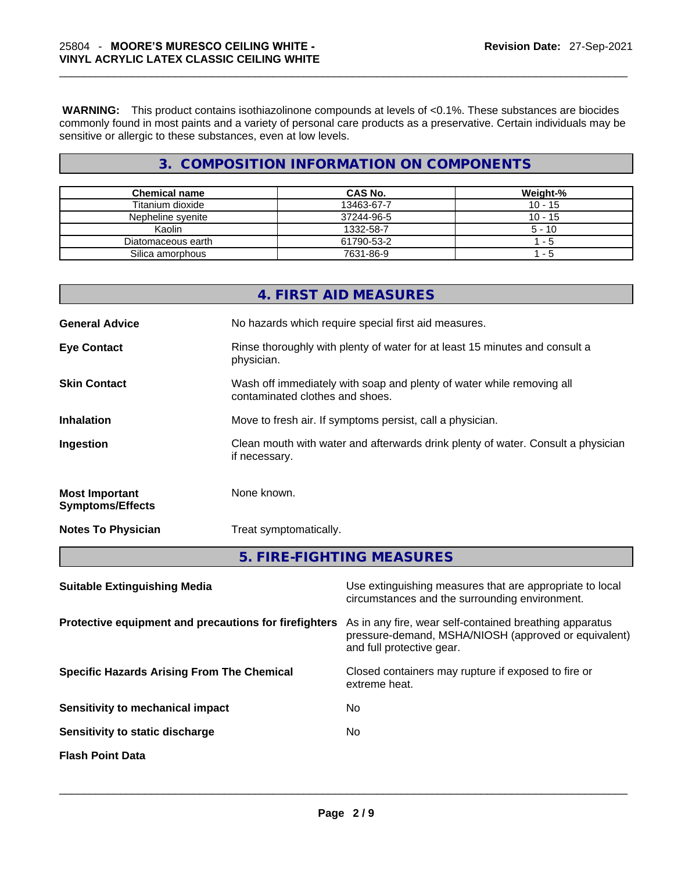**WARNING:** This product contains isothiazolinone compounds at levels of <0.1%. These substances are biocides commonly found in most paints and a variety of personal care products as a preservative. Certain individuals may be sensitive or allergic to these substances, even at low levels.

# **3. COMPOSITION INFORMATION ON COMPONENTS**

| <b>Chemical name</b> | CAS No.    | Weight-%  |
|----------------------|------------|-----------|
| Titanium dioxide     | 13463-67-7 | $10 - 15$ |
| Nepheline svenite    | 37244-96-5 | $10 - 15$ |
| Kaolin               | 1332-58-7  | $5 - 10$  |
| Diatomaceous earth   | 61790-53-2 | 1 - 5     |
| Silica amorphous     | 7631-86-9  | - 5       |

|                                                  | 4. FIRST AID MEASURES                                                                                    |
|--------------------------------------------------|----------------------------------------------------------------------------------------------------------|
| <b>General Advice</b>                            | No hazards which require special first aid measures.                                                     |
| <b>Eye Contact</b>                               | Rinse thoroughly with plenty of water for at least 15 minutes and consult a<br>physician.                |
| <b>Skin Contact</b>                              | Wash off immediately with soap and plenty of water while removing all<br>contaminated clothes and shoes. |
| <b>Inhalation</b>                                | Move to fresh air. If symptoms persist, call a physician.                                                |
| Ingestion                                        | Clean mouth with water and afterwards drink plenty of water. Consult a physician<br>if necessary.        |
| <b>Most Important</b><br><b>Symptoms/Effects</b> | None known.                                                                                              |
| <b>Notes To Physician</b>                        | Treat symptomatically.                                                                                   |
|                                                  | 5. FIRE-FIGHTING MEASURES                                                                                |

| <b>Suitable Extinguishing Media</b>                   | Use extinguishing measures that are appropriate to local<br>circumstances and the surrounding environment.                                   |
|-------------------------------------------------------|----------------------------------------------------------------------------------------------------------------------------------------------|
| Protective equipment and precautions for firefighters | As in any fire, wear self-contained breathing apparatus<br>pressure-demand, MSHA/NIOSH (approved or equivalent)<br>and full protective gear. |
| <b>Specific Hazards Arising From The Chemical</b>     | Closed containers may rupture if exposed to fire or<br>extreme heat.                                                                         |
| Sensitivity to mechanical impact                      | No.                                                                                                                                          |
| Sensitivity to static discharge                       | No.                                                                                                                                          |
| <b>Flash Point Data</b>                               |                                                                                                                                              |
|                                                       |                                                                                                                                              |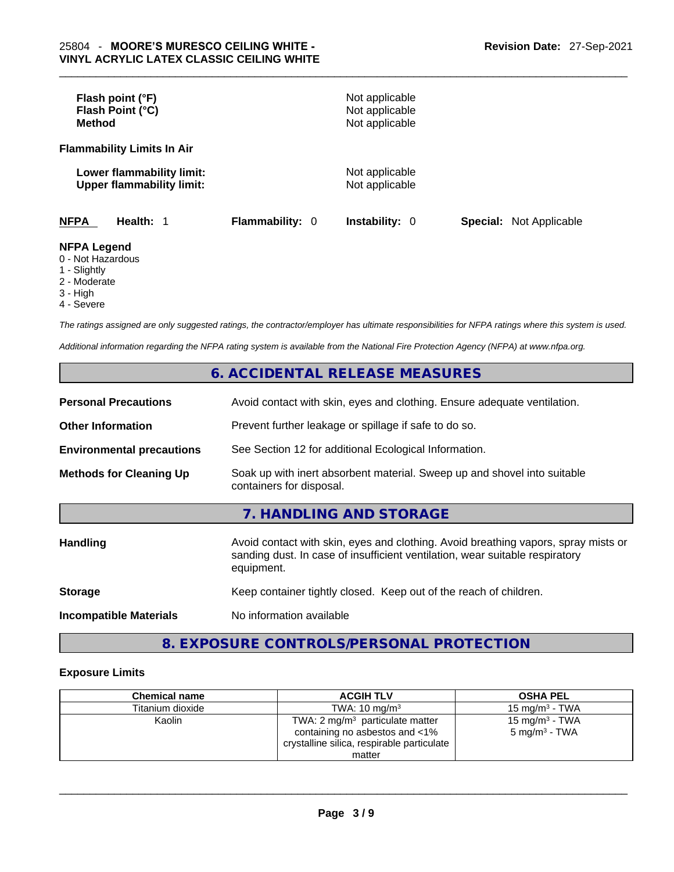| Flash point (°F)<br>Flash Point (°C)<br><b>Method</b>                                                                                                                                                                                                                                                                                                                                                                           |                        | Not applicable<br>Not applicable<br>Not applicable |                                |
|---------------------------------------------------------------------------------------------------------------------------------------------------------------------------------------------------------------------------------------------------------------------------------------------------------------------------------------------------------------------------------------------------------------------------------|------------------------|----------------------------------------------------|--------------------------------|
| <b>Flammability Limits In Air</b>                                                                                                                                                                                                                                                                                                                                                                                               |                        |                                                    |                                |
| Lower flammability limit:<br><b>Upper flammability limit:</b>                                                                                                                                                                                                                                                                                                                                                                   |                        | Not applicable<br>Not applicable                   |                                |
| <b>NFPA</b><br>Health: 1                                                                                                                                                                                                                                                                                                                                                                                                        | <b>Flammability: 0</b> | <b>Instability: 0</b>                              | <b>Special: Not Applicable</b> |
| <b>NFPA Legend</b><br>0 - Not Hazardous<br>$\overline{A}$ $\overline{C}$ $\overline{C}$ $\overline{C}$ $\overline{C}$ $\overline{C}$ $\overline{C}$ $\overline{C}$ $\overline{C}$ $\overline{C}$ $\overline{C}$ $\overline{C}$ $\overline{C}$ $\overline{C}$ $\overline{C}$ $\overline{C}$ $\overline{C}$ $\overline{C}$ $\overline{C}$ $\overline{C}$ $\overline{C}$ $\overline{C}$ $\overline{C}$ $\overline{C}$ $\overline{$ |                        |                                                    |                                |

- 1 Slightly
- 2 Moderate
- 3 High
- 4 Severe

*The ratings assigned are only suggested ratings, the contractor/employer has ultimate responsibilities for NFPA ratings where this system is used.* 

*Additional information regarding the NFPA rating system is available from the National Fire Protection Agency (NFPA) at www.nfpa.org.* 

# **6. ACCIDENTAL RELEASE MEASURES**

| <b>Personal Precautions</b>      | Avoid contact with skin, eyes and clothing. Ensure adequate ventilation.                                                                                                         |  |
|----------------------------------|----------------------------------------------------------------------------------------------------------------------------------------------------------------------------------|--|
| <b>Other Information</b>         | Prevent further leakage or spillage if safe to do so.                                                                                                                            |  |
| <b>Environmental precautions</b> | See Section 12 for additional Ecological Information.                                                                                                                            |  |
| <b>Methods for Cleaning Up</b>   | Soak up with inert absorbent material. Sweep up and shovel into suitable<br>containers for disposal.                                                                             |  |
|                                  | 7. HANDLING AND STORAGE                                                                                                                                                          |  |
| <b>Handling</b>                  | Avoid contact with skin, eyes and clothing. Avoid breathing vapors, spray mists or<br>sanding dust. In case of insufficient ventilation, wear suitable respiratory<br>equipment. |  |
| <b>Storage</b>                   | Keep container tightly closed. Keep out of the reach of children.                                                                                                                |  |
| <b>Incompatible Materials</b>    | No information available                                                                                                                                                         |  |

# **8. EXPOSURE CONTROLS/PERSONAL PROTECTION**

#### **Exposure Limits**

| <b>Chemical name</b> | <b>ACGIH TLV</b>                                                                                                                     | <b>OSHA PEL</b>                                        |
|----------------------|--------------------------------------------------------------------------------------------------------------------------------------|--------------------------------------------------------|
| Titanium dioxide     | TWA: $10 \text{ ma/m}^3$                                                                                                             | 15 mg/m $3$ - TWA                                      |
| Kaolin               | TWA: $2 \text{ mg/m}^3$ particulate matter<br>containing no asbestos and <1%<br>crystalline silica, respirable particulate<br>matter | 15 mg/m <sup>3</sup> - TWA<br>$5 \text{ mg/m}^3$ - TWA |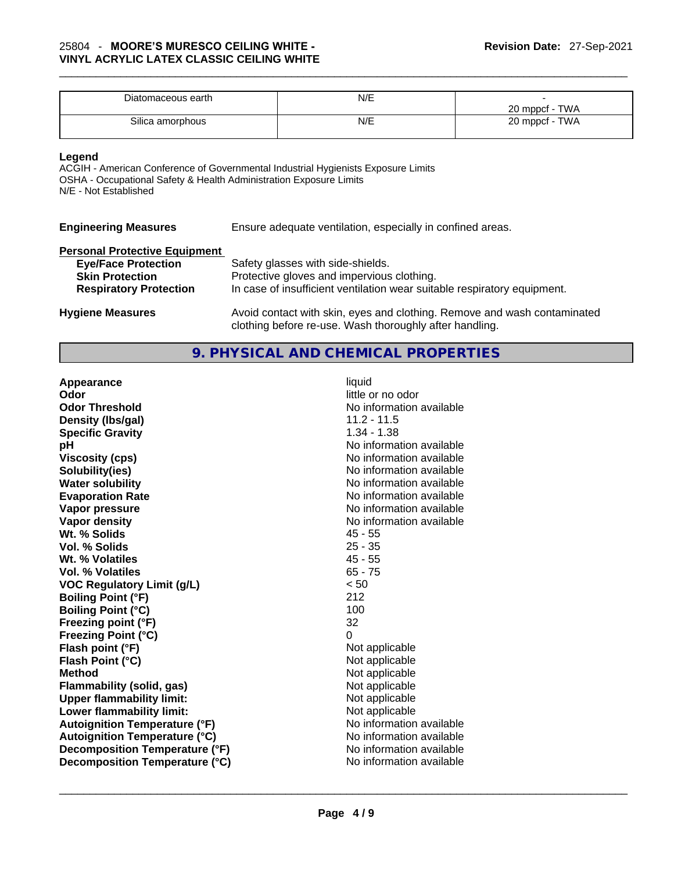| Diatomaceous earth | N/E |                |
|--------------------|-----|----------------|
|                    |     | 20 mppcf - TWA |
| Silica amorphous   | N/E | 20 mppcf - TWA |

#### **Legend**

ACGIH - American Conference of Governmental Industrial Hygienists Exposure Limits OSHA - Occupational Safety & Health Administration Exposure Limits N/E - Not Established

| <b>Engineering Measures</b>          | Ensure adequate ventilation, especially in confined areas.                                                                          |
|--------------------------------------|-------------------------------------------------------------------------------------------------------------------------------------|
| <b>Personal Protective Equipment</b> |                                                                                                                                     |
| <b>Eye/Face Protection</b>           | Safety glasses with side-shields.                                                                                                   |
| <b>Skin Protection</b>               | Protective gloves and impervious clothing.                                                                                          |
| <b>Respiratory Protection</b>        | In case of insufficient ventilation wear suitable respiratory equipment.                                                            |
| <b>Hygiene Measures</b>              | Avoid contact with skin, eyes and clothing. Remove and wash contaminated<br>clothing before re-use. Wash thoroughly after handling. |

## **9. PHYSICAL AND CHEMICAL PROPERTIES**

| Appearance                           | liquid                   |
|--------------------------------------|--------------------------|
| Odor                                 | little or no odor        |
| <b>Odor Threshold</b>                | No information available |
| Density (Ibs/gal)                    | $11.2 - 11.5$            |
| <b>Specific Gravity</b>              | $1.34 - 1.38$            |
| рH                                   | No information available |
| <b>Viscosity (cps)</b>               | No information available |
| Solubility(ies)                      | No information available |
| <b>Water solubility</b>              | No information available |
| <b>Evaporation Rate</b>              | No information available |
| Vapor pressure                       | No information available |
| Vapor density                        | No information available |
| Wt. % Solids                         | $45 - 55$                |
| Vol. % Solids                        | $25 - 35$                |
| Wt. % Volatiles                      | $45 - 55$                |
| <b>Vol. % Volatiles</b>              | $65 - 75$                |
| <b>VOC Regulatory Limit (g/L)</b>    | < 50                     |
| <b>Boiling Point (°F)</b>            | 212                      |
| <b>Boiling Point (°C)</b>            | 100                      |
| Freezing point (°F)                  | 32                       |
| Freezing Point (°C)                  | 0                        |
| Flash point (°F)                     | Not applicable           |
| Flash Point (°C)                     | Not applicable           |
| <b>Method</b>                        | Not applicable           |
| <b>Flammability (solid, gas)</b>     | Not applicable           |
| <b>Upper flammability limit:</b>     | Not applicable           |
| Lower flammability limit:            | Not applicable           |
| <b>Autoignition Temperature (°F)</b> | No information available |
| <b>Autoignition Temperature (°C)</b> | No information available |
| Decomposition Temperature (°F)       | No information available |
| Decomposition Temperature (°C)       | No information available |
|                                      |                          |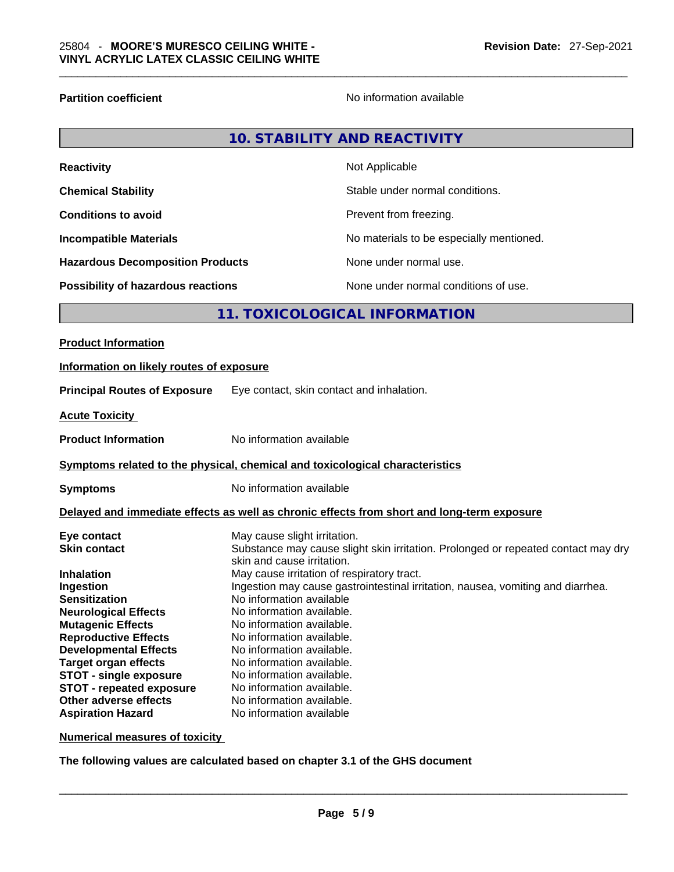**Reactivity** 

**Partition coefficient Contract Contract Contract Contract Contract Contract Contract Contract Contract Contract Contract Contract Contract Contract Contract Contract Contract Contract Contract Contract Contract Contract** 

|         | 10. STABILITY AND REACTIVITY             |
|---------|------------------------------------------|
|         | Not Applicable                           |
| 194 - L | Otalila i un dan manna al agus d'Itana a |

| <b>Chemical Stability</b>                 | Stable under normal conditions.          |
|-------------------------------------------|------------------------------------------|
| <b>Conditions to avoid</b>                | Prevent from freezing.                   |
| <b>Incompatible Materials</b>             | No materials to be especially mentioned. |
| <b>Hazardous Decomposition Products</b>   | None under normal use.                   |
| <b>Possibility of hazardous reactions</b> | None under normal conditions of use.     |

# **11. TOXICOLOGICAL INFORMATION**

| <b>Product Information</b>                                                                                                                                                                                                                                                             |                                                                                                                                                                                                                                                                                                                                                                                                                                                                                            |  |
|----------------------------------------------------------------------------------------------------------------------------------------------------------------------------------------------------------------------------------------------------------------------------------------|--------------------------------------------------------------------------------------------------------------------------------------------------------------------------------------------------------------------------------------------------------------------------------------------------------------------------------------------------------------------------------------------------------------------------------------------------------------------------------------------|--|
| Information on likely routes of exposure                                                                                                                                                                                                                                               |                                                                                                                                                                                                                                                                                                                                                                                                                                                                                            |  |
| <b>Principal Routes of Exposure</b>                                                                                                                                                                                                                                                    | Eye contact, skin contact and inhalation.                                                                                                                                                                                                                                                                                                                                                                                                                                                  |  |
| <b>Acute Toxicity</b>                                                                                                                                                                                                                                                                  |                                                                                                                                                                                                                                                                                                                                                                                                                                                                                            |  |
| <b>Product Information</b>                                                                                                                                                                                                                                                             | No information available                                                                                                                                                                                                                                                                                                                                                                                                                                                                   |  |
| Symptoms related to the physical, chemical and toxicological characteristics                                                                                                                                                                                                           |                                                                                                                                                                                                                                                                                                                                                                                                                                                                                            |  |
| <b>Symptoms</b>                                                                                                                                                                                                                                                                        | No information available                                                                                                                                                                                                                                                                                                                                                                                                                                                                   |  |
| Delayed and immediate effects as well as chronic effects from short and long-term exposure                                                                                                                                                                                             |                                                                                                                                                                                                                                                                                                                                                                                                                                                                                            |  |
| Eye contact<br><b>Skin contact</b><br><b>Inhalation</b><br>Ingestion<br><b>Sensitization</b><br><b>Neurological Effects</b><br><b>Mutagenic Effects</b><br><b>Reproductive Effects</b><br><b>Developmental Effects</b><br><b>Target organ effects</b><br><b>STOT - single exposure</b> | May cause slight irritation.<br>Substance may cause slight skin irritation. Prolonged or repeated contact may dry<br>skin and cause irritation.<br>May cause irritation of respiratory tract.<br>Ingestion may cause gastrointestinal irritation, nausea, vomiting and diarrhea.<br>No information available<br>No information available.<br>No information available.<br>No information available.<br>No information available.<br>No information available.<br>No information available. |  |
| <b>STOT - repeated exposure</b><br>Other adverse effects<br><b>Aspiration Hazard</b>                                                                                                                                                                                                   | No information available.<br>No information available.<br>No information available                                                                                                                                                                                                                                                                                                                                                                                                         |  |

**Numerical measures of toxicity**

**The following values are calculated based on chapter 3.1 of the GHS document**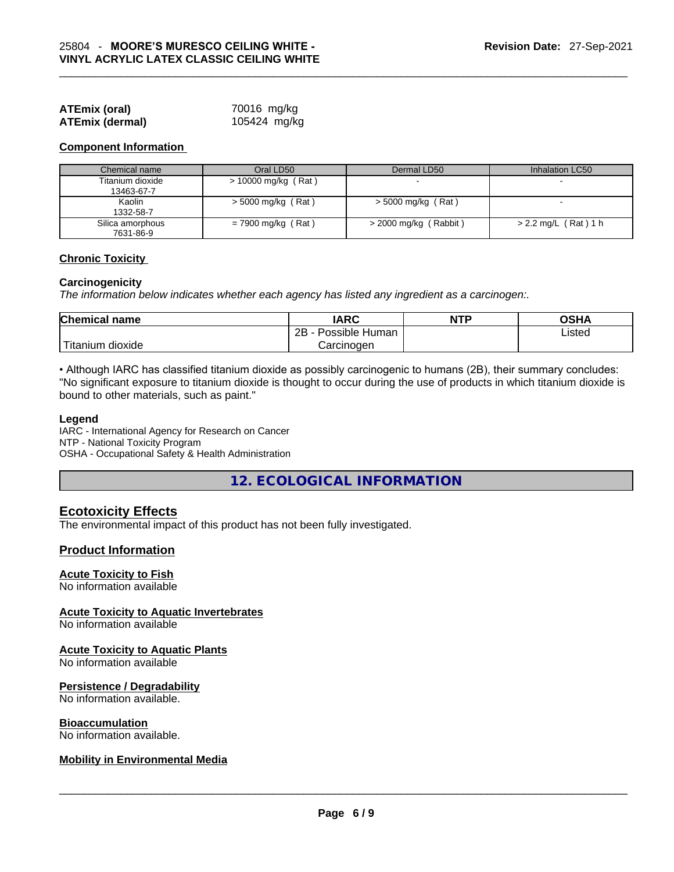| <b>ATEmix (oral)</b>   | 70016 mg/kg  |
|------------------------|--------------|
| <b>ATEmix (dermal)</b> | 105424 mg/kg |

#### **Component Information**

| Chemical name                  | Oral LD50             | Dermal LD50             | Inhalation LC50          |
|--------------------------------|-----------------------|-------------------------|--------------------------|
| Titanium dioxide<br>13463-67-7 | $> 10000$ mg/kg (Rat) |                         | $\sim$                   |
| Kaolin<br>1332-58-7            | $>$ 5000 mg/kg (Rat)  | $>$ 5000 mg/kg (Rat)    | $\overline{\phantom{0}}$ |
| Silica amorphous<br>7631-86-9  | $= 7900$ mg/kg (Rat)  | $>$ 2000 mg/kg (Rabbit) | $> 2.2$ mg/L (Rat) 1 h   |

#### **Chronic Toxicity**

#### **Carcinogenicity**

*The information below indicates whether each agency has listed any ingredient as a carcinogen:.* 

| <b>Chemical name</b> | IARC                 | <b>NTP</b> | OSHA   |
|----------------------|----------------------|------------|--------|
|                      | 2B<br>Possible Human |            | Listed |
| Titanium<br>dioxide  | Carcinoɑen           |            |        |

• Although IARC has classified titanium dioxide as possibly carcinogenic to humans (2B), their summary concludes: "No significant exposure to titanium dioxide is thought to occur during the use of products in which titanium dioxide is bound to other materials, such as paint."

#### **Legend**

IARC - International Agency for Research on Cancer NTP - National Toxicity Program OSHA - Occupational Safety & Health Administration

**12. ECOLOGICAL INFORMATION** 

#### **Ecotoxicity Effects**

The environmental impact of this product has not been fully investigated.

#### **Product Information**

#### **Acute Toxicity to Fish**

No information available

#### **Acute Toxicity to Aquatic Invertebrates**

No information available

#### **Acute Toxicity to Aquatic Plants**

No information available

#### **Persistence / Degradability**

No information available.

#### **Bioaccumulation**

# No information available. \_\_\_\_\_\_\_\_\_\_\_\_\_\_\_\_\_\_\_\_\_\_\_\_\_\_\_\_\_\_\_\_\_\_\_\_\_\_\_\_\_\_\_\_\_\_\_\_\_\_\_\_\_\_\_\_\_\_\_\_\_\_\_\_\_\_\_\_\_\_\_\_\_\_\_\_\_\_\_\_\_\_\_\_\_\_\_\_\_\_\_\_\_ **Mobility in Environmental Media**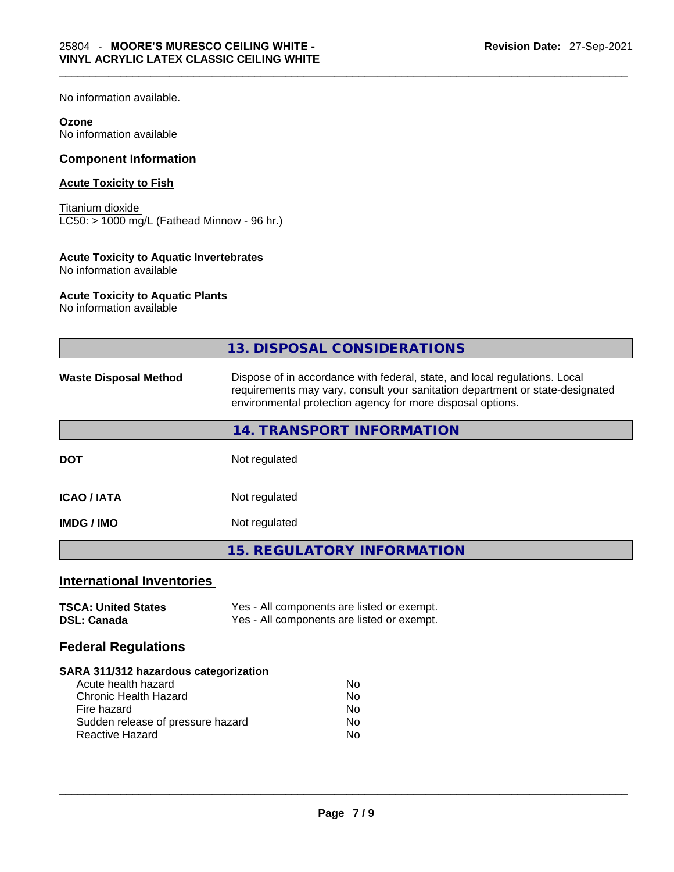No information available.

#### **Ozone**

No information available

## **Component Information**

#### **Acute Toxicity to Fish**

Titanium dioxide LC50: > 1000 mg/L (Fathead Minnow - 96 hr.)

#### **Acute Toxicity to Aquatic Invertebrates**

No information available

#### **Acute Toxicity to Aquatic Plants**

No information available

|                                                                                                                                                                            | <b>13. DISPOSAL CONSIDERATIONS</b>                                                                                                                                                                                        |
|----------------------------------------------------------------------------------------------------------------------------------------------------------------------------|---------------------------------------------------------------------------------------------------------------------------------------------------------------------------------------------------------------------------|
| <b>Waste Disposal Method</b>                                                                                                                                               | Dispose of in accordance with federal, state, and local regulations. Local<br>requirements may vary, consult your sanitation department or state-designated<br>environmental protection agency for more disposal options. |
|                                                                                                                                                                            | <b>14. TRANSPORT INFORMATION</b>                                                                                                                                                                                          |
| <b>DOT</b>                                                                                                                                                                 | Not regulated                                                                                                                                                                                                             |
| <b>ICAO / IATA</b>                                                                                                                                                         | Not regulated                                                                                                                                                                                                             |
| <b>IMDG / IMO</b>                                                                                                                                                          | Not regulated                                                                                                                                                                                                             |
|                                                                                                                                                                            | <b>15. REGULATORY INFORMATION</b>                                                                                                                                                                                         |
| <b>International Inventories</b>                                                                                                                                           |                                                                                                                                                                                                                           |
| <b>TSCA: United States</b><br><b>DSL: Canada</b>                                                                                                                           | Yes - All components are listed or exempt.<br>Yes - All components are listed or exempt.                                                                                                                                  |
| <b>Federal Regulations</b>                                                                                                                                                 |                                                                                                                                                                                                                           |
| SARA 311/312 hazardous categorization<br>Acute health hazard<br><b>Chronic Health Hazard</b><br>Fire hazard<br>Sudden release of pressure hazard<br><b>Reactive Hazard</b> | <b>No</b><br>No<br>No<br>No<br>No                                                                                                                                                                                         |
|                                                                                                                                                                            |                                                                                                                                                                                                                           |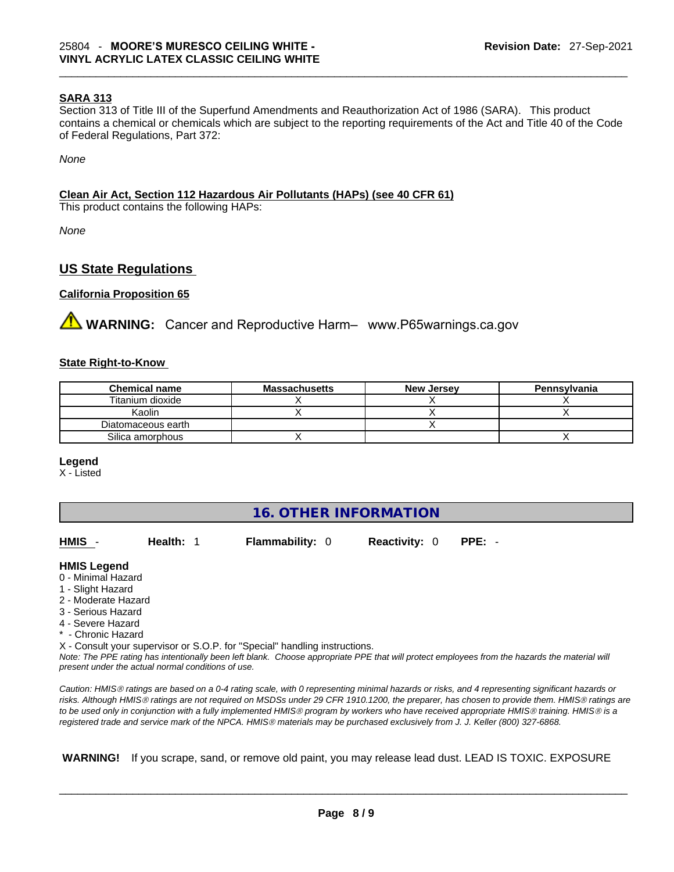#### **SARA 313**

Section 313 of Title III of the Superfund Amendments and Reauthorization Act of 1986 (SARA). This product contains a chemical or chemicals which are subject to the reporting requirements of the Act and Title 40 of the Code of Federal Regulations, Part 372:

*None*

#### **Clean Air Act,Section 112 Hazardous Air Pollutants (HAPs) (see 40 CFR 61)**

This product contains the following HAPs:

*None*

## **US State Regulations**

#### **California Proposition 65**

**<sup>/</sup>∆ WARNING:** Cancer and Reproductive Harm– www.P65warnings.ca.gov

#### **State Right-to-Know**

| <b>Chemical name</b> | <b>Massachusetts</b> | <b>New Jersey</b> | Pennsylvania |
|----------------------|----------------------|-------------------|--------------|
| Titanium dioxide     |                      |                   |              |
| Kaolin               |                      |                   |              |
| Diatomaceous earth   |                      |                   |              |
| Silica amorphous     |                      |                   |              |

#### **Legend**

X - Listed

# **16. OTHER INFORMATION**

| HMIS -              | <b>Health: 1</b> | <b>Flammability: 0</b> | <b>Reactivity: 0</b> | $PPE: -$ |
|---------------------|------------------|------------------------|----------------------|----------|
| <b>HMIS Legend</b>  |                  |                        |                      |          |
| 0 - Minimal Hazard  |                  |                        |                      |          |
| 1 - Slight Hazard   |                  |                        |                      |          |
| 2 - Moderate Hazard |                  |                        |                      |          |
| 3 - Serious Hazard  |                  |                        |                      |          |
| 4 - Severe Hazard   |                  |                        |                      |          |

\* - Chronic Hazard

X - Consult your supervisor or S.O.P. for "Special" handling instructions.

Note: The PPE rating has intentionally been left blank. Choose appropriate PPE that will protect employees from the hazards the material will *present under the actual normal conditions of use.* 

*Caution: HMISÒ ratings are based on a 0-4 rating scale, with 0 representing minimal hazards or risks, and 4 representing significant hazards or risks. Although HMISÒ ratings are not required on MSDSs under 29 CFR 1910.1200, the preparer, has chosen to provide them. HMISÒ ratings are to be used only in conjunction with a fully implemented HMISÒ program by workers who have received appropriate HMISÒ training. HMISÒ is a registered trade and service mark of the NPCA. HMISÒ materials may be purchased exclusively from J. J. Keller (800) 327-6868.* 

 **WARNING!** If you scrape, sand, or remove old paint, you may release lead dust. LEAD IS TOXIC. EXPOSURE